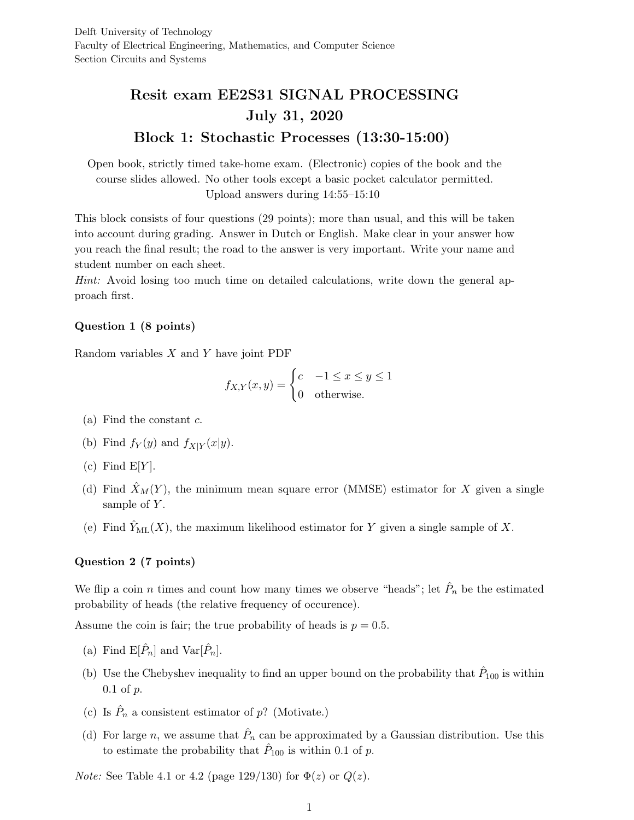# Resit exam EE2S31 SIGNAL PROCESSING July 31, 2020 Block 1: Stochastic Processes (13:30-15:00)

Open book, strictly timed take-home exam. (Electronic) copies of the book and the course slides allowed. No other tools except a basic pocket calculator permitted. Upload answers during 14:55–15:10

This block consists of four questions (29 points); more than usual, and this will be taken into account during grading. Answer in Dutch or English. Make clear in your answer how you reach the final result; the road to the answer is very important. Write your name and student number on each sheet.

Hint: Avoid losing too much time on detailed calculations, write down the general approach first.

### Question 1 (8 points)

Random variables  $X$  and  $Y$  have joint PDF

$$
f_{X,Y}(x,y) = \begin{cases} c & -1 \le x \le y \le 1\\ 0 & \text{otherwise.} \end{cases}
$$

- (a) Find the constant  $c$ .
- (b) Find  $f_Y(y)$  and  $f_{X|Y}(x|y)$ .
- (c) Find  $E[Y]$ .
- (d) Find  $\hat{X}_M(Y)$ , the minimum mean square error (MMSE) estimator for X given a single sample of  $Y$ .
- (e) Find  $\tilde{Y}_{ML}(X)$ , the maximum likelihood estimator for Y given a single sample of X.

#### Question 2 (7 points)

We flip a coin n times and count how many times we observe "heads"; let  $\hat{P}_n$  be the estimated probability of heads (the relative frequency of occurence).

Assume the coin is fair; the true probability of heads is  $p = 0.5$ .

- (a) Find  $\mathbb{E}[\hat{P}_n]$  and  $\text{Var}[\hat{P}_n]$ .
- (b) Use the Chebyshev inequality to find an upper bound on the probability that  $\hat{P}_{100}$  is within  $0.1$  of  $p$ .
- (c) Is  $\hat{P}_n$  a consistent estimator of p? (Motivate.)
- (d) For large n, we assume that  $\hat{P}_n$  can be approximated by a Gaussian distribution. Use this to estimate the probability that  $\hat{P}_{100}$  is within 0.1 of p.

*Note:* See Table 4.1 or 4.2 (page 129/130) for  $\Phi(z)$  or  $Q(z)$ .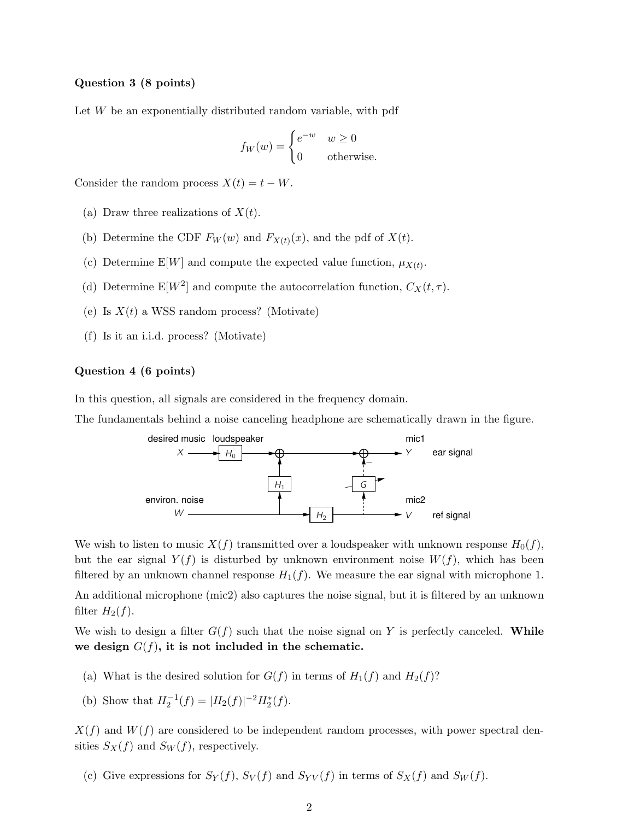#### Question 3 (8 points)

Let  $W$  be an exponentially distributed random variable, with pdf

$$
f_W(w) = \begin{cases} e^{-w} & w \ge 0\\ 0 & \text{otherwise.} \end{cases}
$$

Consider the random process  $X(t) = t - W$ .

- (a) Draw three realizations of  $X(t)$ .
- (b) Determine the CDF  $F_W(w)$  and  $F_{X(t)}(x)$ , and the pdf of  $X(t)$ .
- (c) Determine E[W] and compute the expected value function,  $\mu_{X(t)}$ .
- (d) Determine  $E[W^2]$  and compute the autocorrelation function,  $C_X(t, \tau)$ .
- (e) Is  $X(t)$  a WSS random process? (Motivate)
- (f) Is it an i.i.d. process? (Motivate)

#### Question 4 (6 points)

In this question, all signals are considered in the frequency domain.

The fundamentals behind a noise canceling headphone are schematically drawn in the figure.



We wish to listen to music  $X(f)$  transmitted over a loudspeaker with unknown response  $H_0(f)$ , but the ear signal  $Y(f)$  is disturbed by unknown environment noise  $W(f)$ , which has been filtered by an unknown channel response  $H_1(f)$ . We measure the ear signal with microphone 1.

An additional microphone (mic2) also captures the noise signal, but it is filtered by an unknown filter  $H_2(f)$ .

We wish to design a filter  $G(f)$  such that the noise signal on Y is perfectly canceled. While we design  $G(f)$ , it is not included in the schematic.

- (a) What is the desired solution for  $G(f)$  in terms of  $H_1(f)$  and  $H_2(f)$ ?
- (b) Show that  $H_2^{-1}(f) = |H_2(f)|^{-2} H_2^*(f)$ .

 $X(f)$  and  $W(f)$  are considered to be independent random processes, with power spectral densities  $S_X(f)$  and  $S_W(f)$ , respectively.

(c) Give expressions for  $S_Y(f)$ ,  $S_Y(f)$  and  $S_{YY}(f)$  in terms of  $S_X(f)$  and  $S_W(f)$ .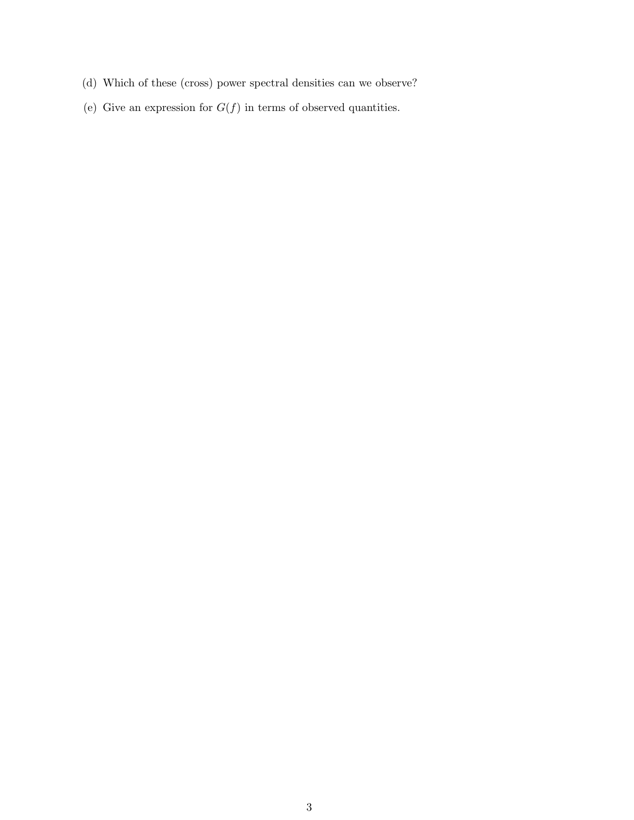- (d) Which of these (cross) power spectral densities can we observe?
- (e) Give an expression for  $G(f)$  in terms of observed quantities.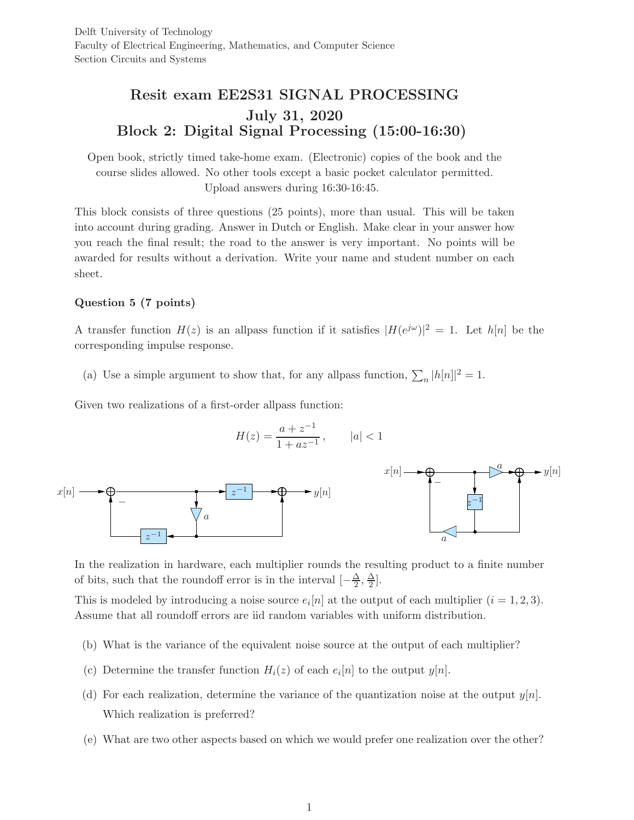# Resit exam EE2S31 SIGNAL PROCESSING July 31, 2020 Block 2: Digital Signal Processing (15:00-16:30)

Open book, strictly timed take-home exam. (Electronic) copies of the book and the course slides allowed. No other tools except a basic pocket calculator permitted. Upload answers during 16:30-16:45.

This block consists of three questions (25 points), more than usual. This will be taken into account during grading. Answer in Dutch or English. Make clear in your answer how you reach the final result; the road to the answer is very important. No points will be awarded for results without a derivation. Write your name and student number on each sheet.

## Question 5 (7 points)

A transfer function  $H(z)$  is an allpass function if it satisfies  $|H(e^{j\omega})|^2 = 1$ . Let  $h[n]$  be the corresponding impulse response.

(a) Use a simple argument to show that, for any allpass function,  $\sum_n |h[n]|^2 = 1$ .

Given two realizations of a first-order allpass function:

$$
H(z) = \frac{a + z^{-1}}{1 + az^{-1}}, \qquad |a| < 1
$$



In the realization in hardware, each multiplier rounds the resulting product to a finite number of bits, such that the roundoff error is in the interval  $\left[-\frac{\Delta}{2}\right]$  $\frac{\Delta}{2}$ ,  $\frac{\Delta}{2}$  $\frac{\Delta}{2}$ .

This is modeled by introducing a noise source  $e_i[n]$  at the output of each multiplier  $(i = 1, 2, 3)$ . Assume that all roundoff errors are iid random variables with uniform distribution.

- (b) What is the variance of the equivalent noise source at the output of each multiplier?
- (c) Determine the transfer function  $H_i(z)$  of each  $e_i[n]$  to the output  $y[n]$ .
- (d) For each realization, determine the variance of the quantization noise at the output  $y[n]$ . Which realization is preferred?
- (e) What are two other aspects based on which we would prefer one realization over the other?